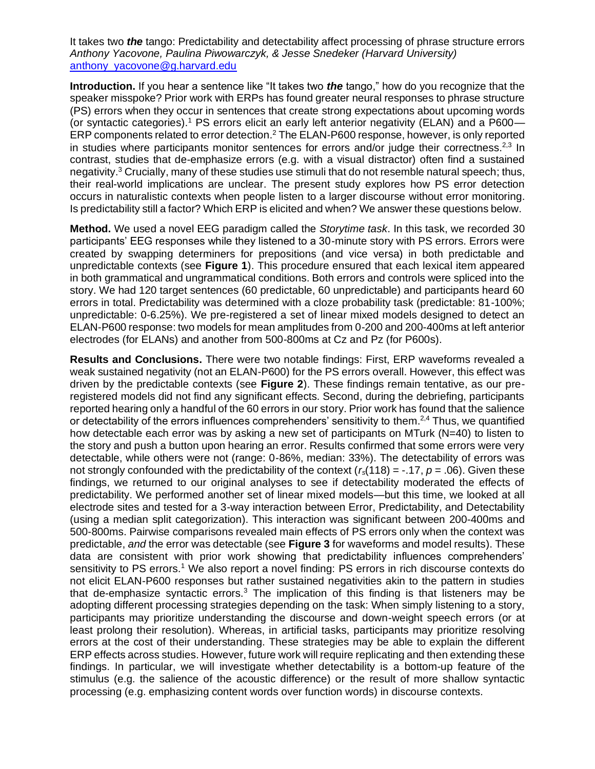It takes two *the* tango: Predictability and detectability affect processing of phrase structure errors *Anthony Yacovone, Paulina Piwowarczyk, & Jesse Snedeker (Harvard University)* anthony\_yacovone@g.harvard.edu

**Introduction.** If you hear a sentence like "It takes two *the* tango," how do you recognize that the speaker misspoke? Prior work with ERPs has found greater neural responses to phrase structure (PS) errors when they occur in sentences that create strong expectations about upcoming words (or syntactic categories).<sup>1</sup> PS errors elicit an early left anterior negativity (ELAN) and a P600— ERP components related to error detection.<sup>2</sup> The ELAN-P600 response, however, is only reported in studies where participants monitor sentences for errors and/or judge their correctness.<sup>2,3</sup> In contrast, studies that de-emphasize errors (e.g. with a visual distractor) often find a sustained negativity.<sup>3</sup> Crucially, many of these studies use stimuli that do not resemble natural speech: thus, their real-world implications are unclear. The present study explores how PS error detection occurs in naturalistic contexts when people listen to a larger discourse without error monitoring. Is predictability still a factor? Which ERP is elicited and when? We answer these questions below.

**Method.** We used a novel EEG paradigm called the *Storytime task*. In this task, we recorded 30 participants' EEG responses while they listened to a 30-minute story with PS errors. Errors were created by swapping determiners for prepositions (and vice versa) in both predictable and unpredictable contexts (see **Figure 1**). This procedure ensured that each lexical item appeared in both grammatical and ungrammatical conditions. Both errors and controls were spliced into the story. We had 120 target sentences (60 predictable, 60 unpredictable) and participants heard 60 errors in total. Predictability was determined with a cloze probability task (predictable: 81-100%; unpredictable: 0-6.25%). We pre-registered a set of linear mixed models designed to detect an ELAN-P600 response: two models for mean amplitudes from 0-200 and 200-400ms at left anterior electrodes (for ELANs) and another from 500-800ms at Cz and Pz (for P600s).

**Results and Conclusions.** There were two notable findings: First, ERP waveforms revealed a weak sustained negativity (not an ELAN-P600) for the PS errors overall. However, this effect was driven by the predictable contexts (see **Figure 2**). These findings remain tentative, as our preregistered models did not find any significant effects. Second, during the debriefing, participants reported hearing only a handful of the 60 errors in our story. Prior work has found that the salience or detectability of the errors influences comprehenders' sensitivity to them.<sup>2,4</sup> Thus, we quantified how detectable each error was by asking a new set of participants on MTurk (N=40) to listen to the story and push a button upon hearing an error. Results confirmed that some errors were very detectable, while others were not (range: 0-86%, median: 33%). The detectability of errors was not strongly confounded with the predictability of the context  $(r_s(118) = -.17, p = .06)$ . Given these findings, we returned to our original analyses to see if detectability moderated the effects of predictability. We performed another set of linear mixed models—but this time, we looked at all electrode sites and tested for a 3-way interaction between Error, Predictability, and Detectability (using a median split categorization). This interaction was significant between 200-400ms and 500-800ms. Pairwise comparisons revealed main effects of PS errors only when the context was predictable, *and* the error was detectable (see **Figure 3** for waveforms and model results). These data are consistent with prior work showing that predictability influences comprehenders' sensitivity to PS errors.<sup>1</sup> We also report a novel finding: PS errors in rich discourse contexts do not elicit ELAN-P600 responses but rather sustained negativities akin to the pattern in studies that de-emphasize syntactic errors.<sup>3</sup> The implication of this finding is that listeners may be adopting different processing strategies depending on the task: When simply listening to a story, participants may prioritize understanding the discourse and down-weight speech errors (or at least prolong their resolution). Whereas, in artificial tasks, participants may prioritize resolving errors at the cost of their understanding. These strategies may be able to explain the different ERP effects across studies. However, future work will require replicating and then extending these findings. In particular, we will investigate whether detectability is a bottom-up feature of the stimulus (e.g. the salience of the acoustic difference) or the result of more shallow syntactic processing (e.g. emphasizing content words over function words) in discourse contexts.